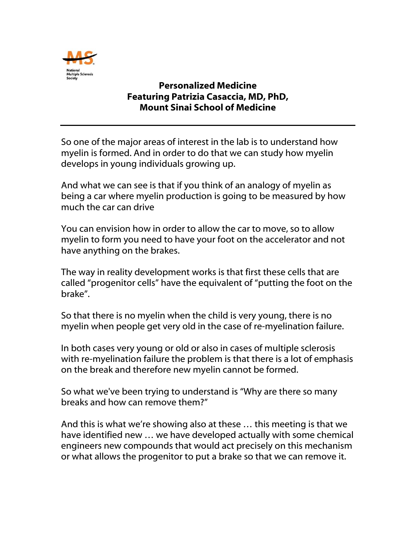

## Personalized Medicine Featuring Patrizia Casaccia, MD, PhD, Mount Sinai School of Medicine

So one of the major areas of interest in the lab is to understand how myelin is formed. And in order to do that we can study how myelin develops in young individuals growing up.

And what we can see is that if you think of an analogy of myelin as being a car where myelin production is going to be measured by how much the car can drive

You can envision how in order to allow the car to move, so to allow myelin to form you need to have your foot on the accelerator and not have anything on the brakes.

The way in reality development works is that first these cells that are called "progenitor cells" have the equivalent of "putting the foot on the brake".

So that there is no myelin when the child is very young, there is no myelin when people get very old in the case of re-myelination failure.

In both cases very young or old or also in cases of multiple sclerosis with re-myelination failure the problem is that there is a lot of emphasis on the break and therefore new myelin cannot be formed.

So what we've been trying to understand is "Why are there so many breaks and how can remove them?"

And this is what we're showing also at these … this meeting is that we have identified new … we have developed actually with some chemical engineers new compounds that would act precisely on this mechanism or what allows the progenitor to put a brake so that we can remove it.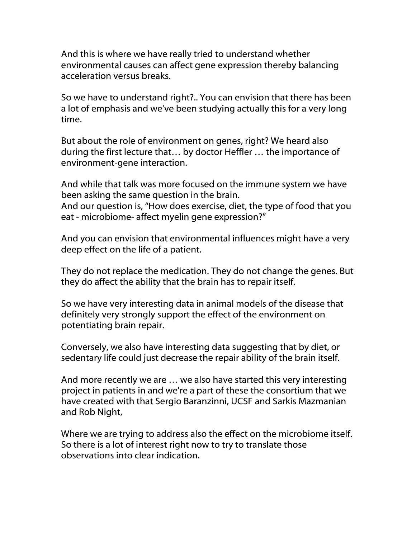And this is where we have really tried to understand whether environmental causes can affect gene expression thereby balancing acceleration versus breaks.

So we have to understand right?.. You can envision that there has been a lot of emphasis and we've been studying actually this for a very long time.

But about the role of environment on genes, right? We heard also during the first lecture that… by doctor Heffler … the importance of environment-gene interaction.

And while that talk was more focused on the immune system we have been asking the same question in the brain. And our question is, "How does exercise, diet, the type of food that you eat - microbiome- affect myelin gene expression?"

And you can envision that environmental influences might have a very deep effect on the life of a patient.

They do not replace the medication. They do not change the genes. But they do affect the ability that the brain has to repair itself.

So we have very interesting data in animal models of the disease that definitely very strongly support the effect of the environment on potentiating brain repair.

Conversely, we also have interesting data suggesting that by diet, or sedentary life could just decrease the repair ability of the brain itself.

And more recently we are … we also have started this very interesting project in patients in and we're a part of these the consortium that we have created with that Sergio Baranzinni, UCSF and Sarkis Mazmanian and Rob Night,

Where we are trying to address also the effect on the microbiome itself. So there is a lot of interest right now to try to translate those observations into clear indication.